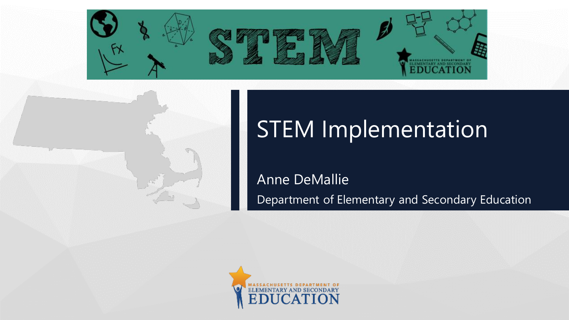

## STEM Implementation

Anne DeMallie Department of Elementary and Secondary Education

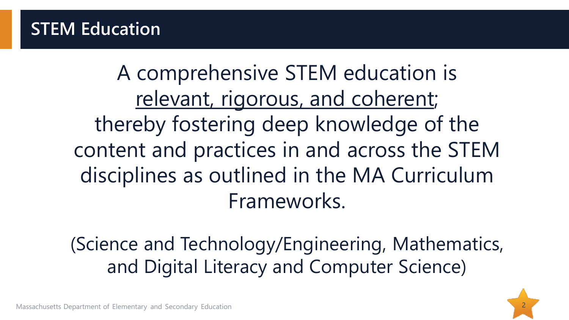#### **STEM Education**

A comprehensive STEM education is relevant, rigorous, and coherent; thereby fostering deep knowledge of the content and practices in and across the STEM disciplines as outlined in the MA Curriculum Frameworks.

(Science and Technology/Engineering, Mathematics, and Digital Literacy and Computer Science)

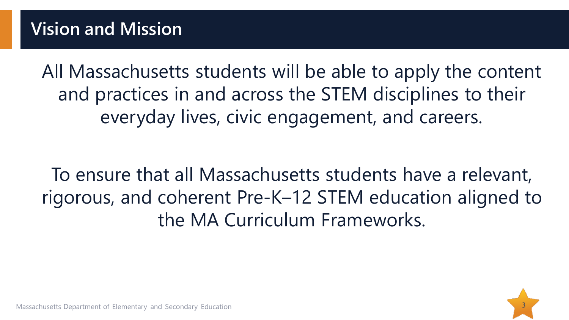All Massachusetts students will be able to apply the content and practices in and across the STEM disciplines to their everyday lives, civic engagement, and careers.

To ensure that all Massachusetts students have a relevant, rigorous, and coherent Pre-K–12 STEM education aligned to the MA Curriculum Frameworks.

3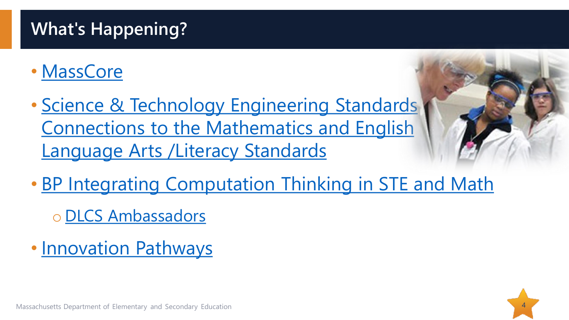### **What's Happening?**

- [MassCore](http://www.doe.mass.edu/ccr/masscore/)
- Science & Technology Engineering Standards [Connections to the Mathematics and English](http://www.doe.mass.edu/stem/ste/mrste-connections.docx) Language Arts /Literacy Standards
- [BP Integrating Computation Thinking in STE and Math](https://sites.google.com/site/stemcwithct/home)
	- o [DLCS Ambassadors](https://www.surveygizmo.com/s3/5007072/2019-DLCS-Ambassador-Application)
- [Innovation Pathways](http://www.doe.mass.edu/ccte/ccr/hqccp/)



Massachusetts Department of Elementary and Secondary Education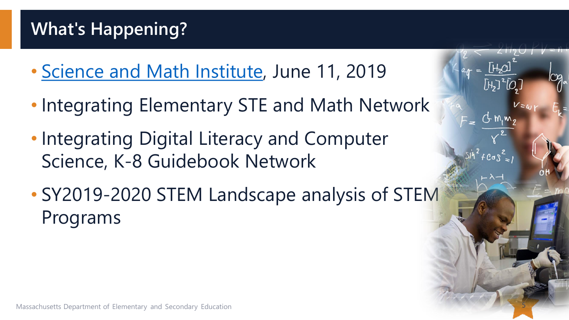### **What's Happening?**

- [Science and Math Institute,](http://www.doe.mass.edu/stem/news/2019-0301wpi.pdf) June 11, 2019
- Integrating Elementary STE and Math Network
- Integrating Digital Literacy and Computer Science, K-8 Guidebook Network
- SY2019-2020 STEM Landscape analysis of STEM Programs

5

 $f \cos^2 x$